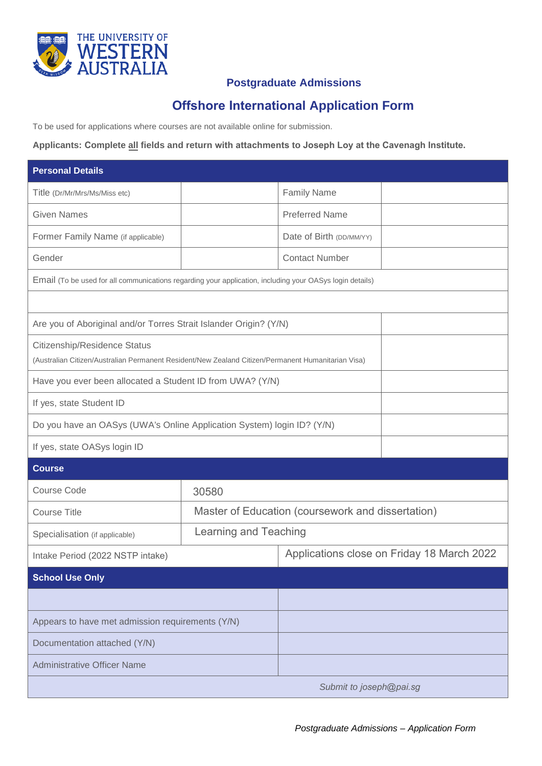

## **Postgraduate Admissions**

# **Offshore International Application Form**

To be used for applications where courses are not available online for submission.

**Applicants: Complete all fields and return with attachments to Joseph Loy at the Cavenagh Institute.** 

| <b>Personal Details</b>                                                                                                            |                       |                                                   |  |
|------------------------------------------------------------------------------------------------------------------------------------|-----------------------|---------------------------------------------------|--|
| Title (Dr/Mr/Mrs/Ms/Miss etc)                                                                                                      |                       | <b>Family Name</b>                                |  |
| <b>Given Names</b>                                                                                                                 |                       | <b>Preferred Name</b>                             |  |
| Former Family Name (if applicable)                                                                                                 |                       | Date of Birth (DD/MM/YY)                          |  |
| Gender                                                                                                                             |                       | <b>Contact Number</b>                             |  |
| Email (To be used for all communications regarding your application, including your OASys login details)                           |                       |                                                   |  |
|                                                                                                                                    |                       |                                                   |  |
| Are you of Aboriginal and/or Torres Strait Islander Origin? (Y/N)                                                                  |                       |                                                   |  |
| Citizenship/Residence Status<br>(Australian Citizen/Australian Permanent Resident/New Zealand Citizen/Permanent Humanitarian Visa) |                       |                                                   |  |
| Have you ever been allocated a Student ID from UWA? (Y/N)                                                                          |                       |                                                   |  |
| If yes, state Student ID                                                                                                           |                       |                                                   |  |
| Do you have an OASys (UWA's Online Application System) login ID? (Y/N)                                                             |                       |                                                   |  |
| If yes, state OASys login ID                                                                                                       |                       |                                                   |  |
| <b>Course</b>                                                                                                                      |                       |                                                   |  |
| <b>Course Code</b>                                                                                                                 | 30580                 |                                                   |  |
| <b>Course Title</b>                                                                                                                |                       | Master of Education (coursework and dissertation) |  |
| Specialisation (if applicable)                                                                                                     | Learning and Teaching |                                                   |  |
| Intake Period (2022 NSTP intake)                                                                                                   |                       | Applications close on Friday 18 March 2022        |  |
| <b>School Use Only</b>                                                                                                             |                       |                                                   |  |
|                                                                                                                                    |                       |                                                   |  |
| Appears to have met admission requirements (Y/N)                                                                                   |                       |                                                   |  |
| Documentation attached (Y/N)                                                                                                       |                       |                                                   |  |
| <b>Administrative Officer Name</b>                                                                                                 |                       |                                                   |  |
| Submit to joseph@pai.sg                                                                                                            |                       |                                                   |  |